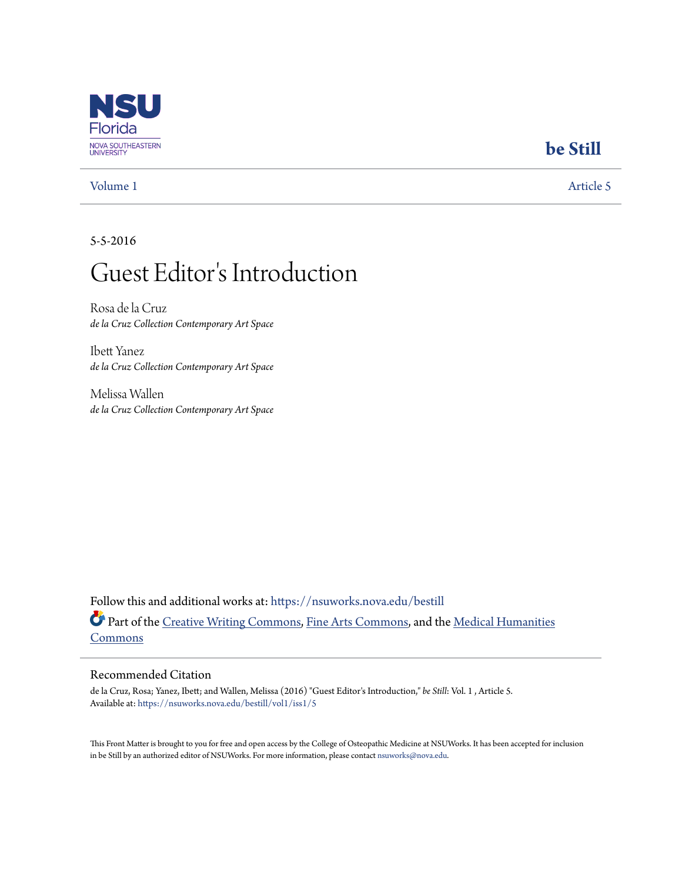

## [Volume 1](https://nsuworks.nova.edu/bestill/vol1?utm_source=nsuworks.nova.edu%2Fbestill%2Fvol1%2Fiss1%2F5&utm_medium=PDF&utm_campaign=PDFCoverPages) [Article 5](https://nsuworks.nova.edu/bestill/vol1/iss1/5?utm_source=nsuworks.nova.edu%2Fbestill%2Fvol1%2Fiss1%2F5&utm_medium=PDF&utm_campaign=PDFCoverPages)

## **[be Still](https://nsuworks.nova.edu/bestill?utm_source=nsuworks.nova.edu%2Fbestill%2Fvol1%2Fiss1%2F5&utm_medium=PDF&utm_campaign=PDFCoverPages)**

5-5-2016

## Guest Editor 's Introduction

Rosa de la Cruz *de la Cruz Collection Contemporary Art Space*

Ibett Yanez *de la Cruz Collection Contemporary Art Space*

Melissa Wallen *de la Cruz Collection Contemporary Art Space*

Follow this and additional works at: [https://nsuworks.nova.edu/bestill](https://nsuworks.nova.edu/bestill?utm_source=nsuworks.nova.edu%2Fbestill%2Fvol1%2Fiss1%2F5&utm_medium=PDF&utm_campaign=PDFCoverPages) Part of the [Creative Writing Commons](http://network.bepress.com/hgg/discipline/574?utm_source=nsuworks.nova.edu%2Fbestill%2Fvol1%2Fiss1%2F5&utm_medium=PDF&utm_campaign=PDFCoverPages), [Fine Arts Commons,](http://network.bepress.com/hgg/discipline/1141?utm_source=nsuworks.nova.edu%2Fbestill%2Fvol1%2Fiss1%2F5&utm_medium=PDF&utm_campaign=PDFCoverPages) and the [Medical Humanities](http://network.bepress.com/hgg/discipline/1303?utm_source=nsuworks.nova.edu%2Fbestill%2Fvol1%2Fiss1%2F5&utm_medium=PDF&utm_campaign=PDFCoverPages) [Commons](http://network.bepress.com/hgg/discipline/1303?utm_source=nsuworks.nova.edu%2Fbestill%2Fvol1%2Fiss1%2F5&utm_medium=PDF&utm_campaign=PDFCoverPages)

## Recommended Citation

de la Cruz, Rosa; Yanez, Ibett; and Wallen, Melissa (2016) "Guest Editor's Introduction," *be Still*: Vol. 1 , Article 5. Available at: [https://nsuworks.nova.edu/bestill/vol1/iss1/5](https://nsuworks.nova.edu/bestill/vol1/iss1/5?utm_source=nsuworks.nova.edu%2Fbestill%2Fvol1%2Fiss1%2F5&utm_medium=PDF&utm_campaign=PDFCoverPages)

This Front Matter is brought to you for free and open access by the College of Osteopathic Medicine at NSUWorks. It has been accepted for inclusion in be Still by an authorized editor of NSUWorks. For more information, please contact [nsuworks@nova.edu.](mailto:nsuworks@nova.edu)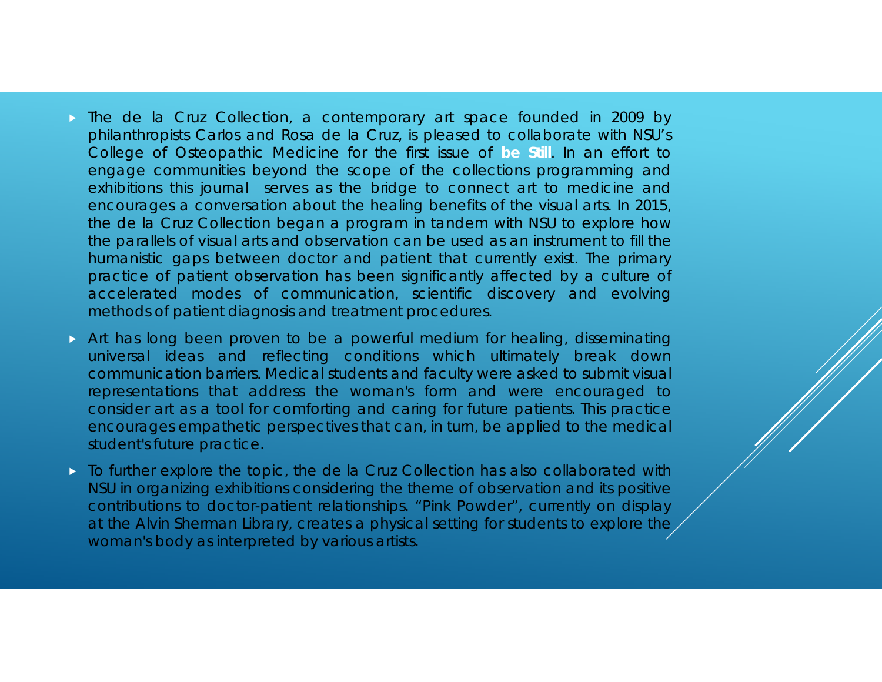- The de la Cruz Collection, <sup>a</sup> contemporary art space founded in 2009 by philanthropists Carlos and Rosa de la Cruz, is pleased to collaborate with NSU's College of Osteopathic Medicine for the first issue of **be Still**. In an effort to engage communities beyond the scope of the collections programming and exhibitions this journal serves as the bridge to connect art to medicine and encourages <sup>a</sup> conversation about the healing benefits of the visual arts. In 2015, the de la Cruz Collection began <sup>a</sup> program in tandem with NSU to explore how the parallels of visual arts and observation can be used as an instrument to fill the humanistic gaps between doctor and patient that currently exist. The primary practice of patient observation has been significantly affected by <sup>a</sup> culture of accelerated modes of communication, scientific discovery and evolving methods of patient diagnosis and treatment procedures.
- Art has long been proven to be <sup>a</sup> powerful medium for healing, disseminating universal ideas and reflecting conditions which ultimately break down communication barriers. Medical students and faculty were asked to submit visual representations that address the woman's form and were encouraged to consider art as <sup>a</sup> tool for comforting and caring for future patients. This practice encourages empathetic perspectives that can, in turn, be applied to the medical student's future practice.
- $\triangleright$  To further explore the topic, the de la Cruz Collection has also collaborated with NSU in organizing exhibitions considering the theme of observation and its positive contributions to doctor-patient relationships. "Pink Powder", currently on display at the Alvin Sherman Library, creates <sup>a</sup> physical setting for students to explore the woman's body as interpreted by various artists.